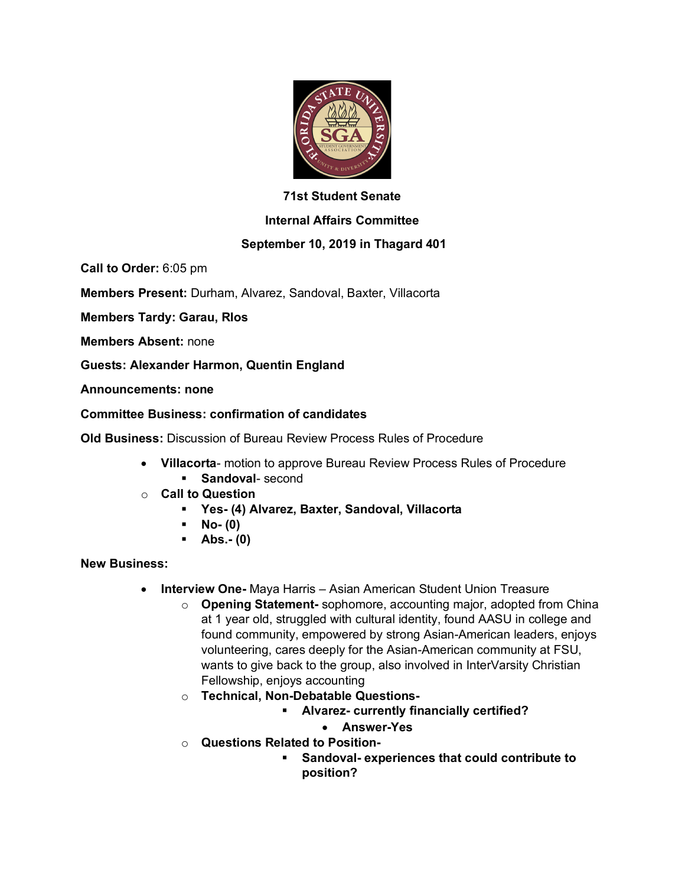

## **71st Student Senate**

### **Internal Affairs Committee**

# **September 10, 2019 in Thagard 401**

**Call to Order:** 6:05 pm

**Members Present:** Durham, Alvarez, Sandoval, Baxter, Villacorta

**Members Tardy: Garau, RIos**

**Members Absent:** none

**Guests: Alexander Harmon, Quentin England**

**Announcements: none**

### **Committee Business: confirmation of candidates**

**Old Business:** Discussion of Bureau Review Process Rules of Procedure

- **Villacorta** motion to approve Bureau Review Process Rules of Procedure § **Sandoval**- second
- o **Call to Question**
	- § **Yes- (4) Alvarez, Baxter, Sandoval, Villacorta**
	- § **No- (0)**
	- § **Abs.- (0)**

#### **New Business:**

- **Interview One-** Maya Harris Asian American Student Union Treasure
	- o **Opening Statement-** sophomore, accounting major, adopted from China at 1 year old, struggled with cultural identity, found AASU in college and found community, empowered by strong Asian-American leaders, enjoys volunteering, cares deeply for the Asian-American community at FSU, wants to give back to the group, also involved in InterVarsity Christian Fellowship, enjoys accounting
	- o **Technical, Non-Debatable Questions-**
		- § **Alvarez- currently financially certified?**
			- **Answer-Yes**
	- o **Questions Related to Position-**
		- § **Sandoval- experiences that could contribute to position?**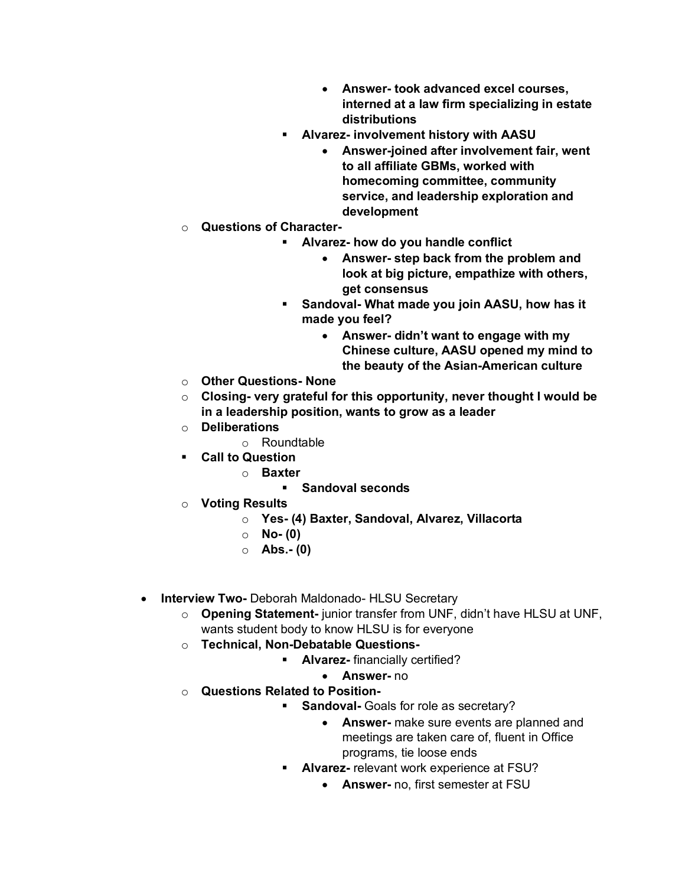- **Answer- took advanced excel courses, interned at a law firm specializing in estate distributions**
- § **Alvarez- involvement history with AASU**
	- **Answer-joined after involvement fair, went to all affiliate GBMs, worked with homecoming committee, community service, and leadership exploration and development**
- o **Questions of Character-**
	- § **Alvarez- how do you handle conflict**
		- **Answer- step back from the problem and look at big picture, empathize with others, get consensus**
	- § **Sandoval- What made you join AASU, how has it made you feel?**
		- **Answer- didn't want to engage with my Chinese culture, AASU opened my mind to the beauty of the Asian-American culture**
- o **Other Questions- None**
- o **Closing- very grateful for this opportunity, never thought I would be in a leadership position, wants to grow as a leader**
- o **Deliberations**
	- o Roundtable
- § **Call to Question**
	- o **Baxter**
		- § **Sandoval seconds**
- o **Voting Results**
	- o **Yes- (4) Baxter, Sandoval, Alvarez, Villacorta**
	- o **No- (0)**
	- o **Abs.- (0)**
- **Interview Two-** Deborah Maldonado- HLSU Secretary
	- o **Opening Statement-** junior transfer from UNF, didn't have HLSU at UNF, wants student body to know HLSU is for everyone
	- o **Technical, Non-Debatable Questions-**
		- § **Alvarez-** financially certified?
			- **Answer-** no
	- o **Questions Related to Position-**
		- **Sandoval-** Goals for role as secretary?
			- **Answer-** make sure events are planned and meetings are taken care of, fluent in Office programs, tie loose ends
		- § **Alvarez-** relevant work experience at FSU?
			- **Answer-** no, first semester at FSU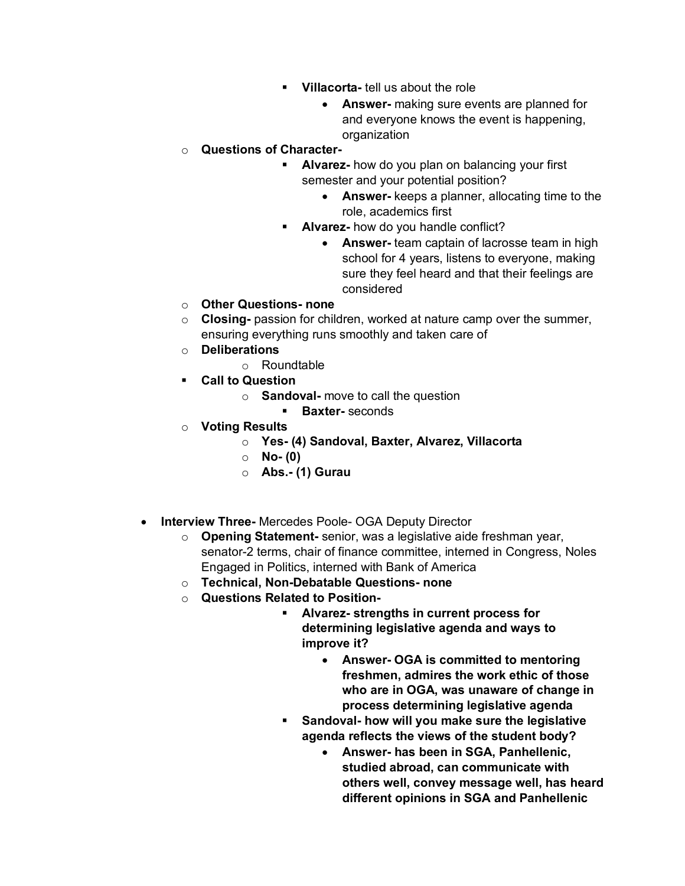- § **Villacorta-** tell us about the role
	- **Answer-** making sure events are planned for and everyone knows the event is happening, organization

## o **Questions of Character-**

- § **Alvarez-** how do you plan on balancing your first semester and your potential position?
	- **Answer-** keeps a planner, allocating time to the role, academics first
- **Alvarez-** how do you handle conflict?
	- **Answer-** team captain of lacrosse team in high school for 4 years, listens to everyone, making sure they feel heard and that their feelings are considered
- o **Other Questions- none**
- o **Closing-** passion for children, worked at nature camp over the summer, ensuring everything runs smoothly and taken care of
- o **Deliberations**
	- o Roundtable
- § **Call to Question**
	- o **Sandoval-** move to call the question
		- § **Baxter-** seconds
- o **Voting Results**
	- o **Yes- (4) Sandoval, Baxter, Alvarez, Villacorta**
		- o **No- (0)**
		- o **Abs.- (1) Gurau**
- **Interview Three-** Mercedes Poole- OGA Deputy Director
	- o **Opening Statement-** senior, was a legislative aide freshman year, senator-2 terms, chair of finance committee, interned in Congress, Noles Engaged in Politics, interned with Bank of America
	- o **Technical, Non-Debatable Questions- none**
	- o **Questions Related to Position-**
		- § **Alvarez- strengths in current process for determining legislative agenda and ways to improve it?**
			- **Answer- OGA is committed to mentoring freshmen, admires the work ethic of those who are in OGA, was unaware of change in process determining legislative agenda**
		- § **Sandoval- how will you make sure the legislative agenda reflects the views of the student body?**
			- **Answer- has been in SGA, Panhellenic, studied abroad, can communicate with others well, convey message well, has heard different opinions in SGA and Panhellenic**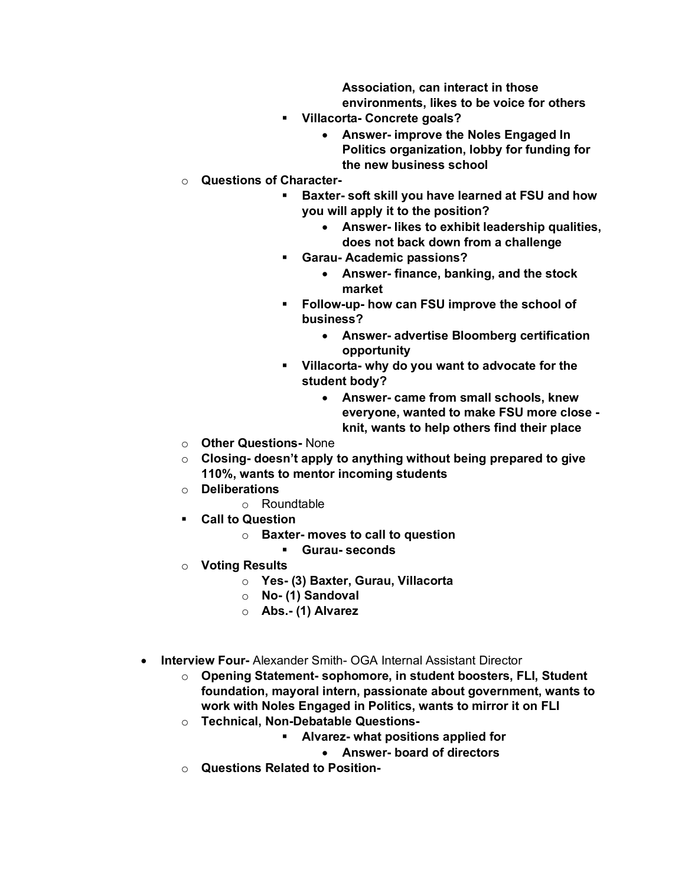**Association, can interact in those environments, likes to be voice for others**

- § **Villacorta- Concrete goals?**
	- **Answer- improve the Noles Engaged In Politics organization, lobby for funding for the new business school**
- o **Questions of Character-**
	- § **Baxter- soft skill you have learned at FSU and how you will apply it to the position?**
		- **Answer- likes to exhibit leadership qualities, does not back down from a challenge**
	- § **Garau- Academic passions?**
		- **Answer- finance, banking, and the stock market**
	- § **Follow-up- how can FSU improve the school of business?**
		- **Answer- advertise Bloomberg certification opportunity**
	- § **Villacorta- why do you want to advocate for the student body?**
		- **Answer- came from small schools, knew everyone, wanted to make FSU more close knit, wants to help others find their place**
- o **Other Questions-** None
- o **Closing- doesn't apply to anything without being prepared to give 110%, wants to mentor incoming students**
- o **Deliberations**
	- o Roundtable
- § **Call to Question**
	- o **Baxter- moves to call to question**
		- § **Gurau- seconds**
- o **Voting Results**
	- o **Yes- (3) Baxter, Gurau, Villacorta**
	- o **No- (1) Sandoval**
	- o **Abs.- (1) Alvarez**
- **Interview Four-** Alexander Smith- OGA Internal Assistant Director
	- o **Opening Statement- sophomore, in student boosters, FLI, Student foundation, mayoral intern, passionate about government, wants to work with Noles Engaged in Politics, wants to mirror it on FLI**
	- o **Technical, Non-Debatable Questions-**
		- § **Alvarez- what positions applied for** 
			- **Answer- board of directors**
	- o **Questions Related to Position-**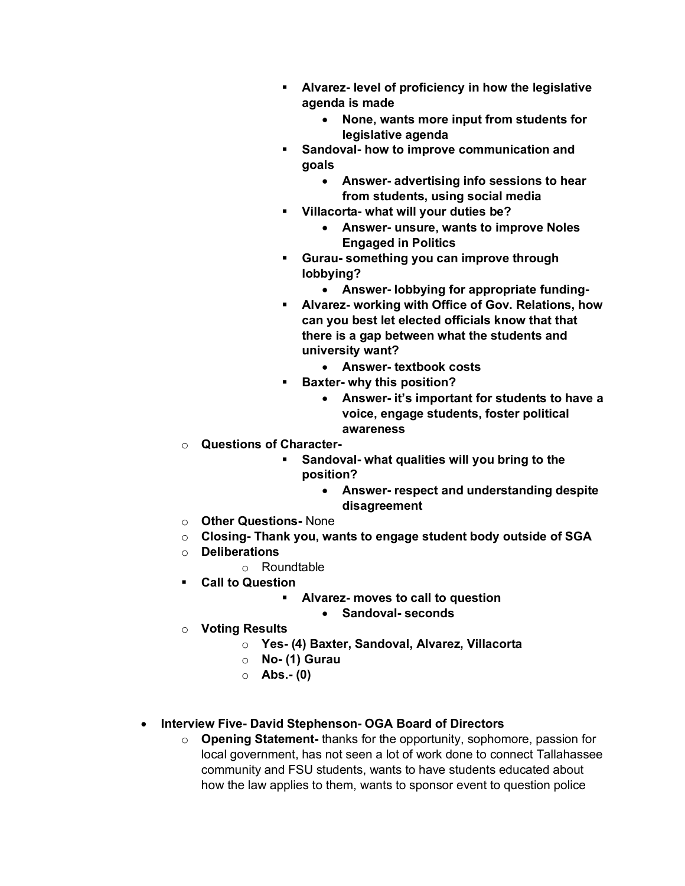- § **Alvarez- level of proficiency in how the legislative agenda is made**
	- **None, wants more input from students for legislative agenda**
- § **Sandoval- how to improve communication and goals**
	- **Answer- advertising info sessions to hear from students, using social media**
- § **Villacorta- what will your duties be?**
	- **Answer- unsure, wants to improve Noles Engaged in Politics**
- § **Gurau- something you can improve through lobbying?**
	- **Answer- lobbying for appropriate funding-**
- § **Alvarez- working with Office of Gov. Relations, how can you best let elected officials know that that there is a gap between what the students and university want?**
	- **Answer- textbook costs**
- § **Baxter- why this position?**
	- **Answer- it's important for students to have a voice, engage students, foster political awareness**
- o **Questions of Character-**
	- § **Sandoval- what qualities will you bring to the position?**
		- **Answer- respect and understanding despite disagreement**
- o **Other Questions-** None
- o **Closing- Thank you, wants to engage student body outside of SGA**
- o **Deliberations**
	- o Roundtable
- § **Call to Question**
	- § **Alvarez- moves to call to question**
		- **Sandoval- seconds**
- o **Voting Results**
	- o **Yes- (4) Baxter, Sandoval, Alvarez, Villacorta**
	- o **No- (1) Gurau**
	- o **Abs.- (0)**
- **Interview Five- David Stephenson- OGA Board of Directors**
	- o **Opening Statement-** thanks for the opportunity, sophomore, passion for local government, has not seen a lot of work done to connect Tallahassee community and FSU students, wants to have students educated about how the law applies to them, wants to sponsor event to question police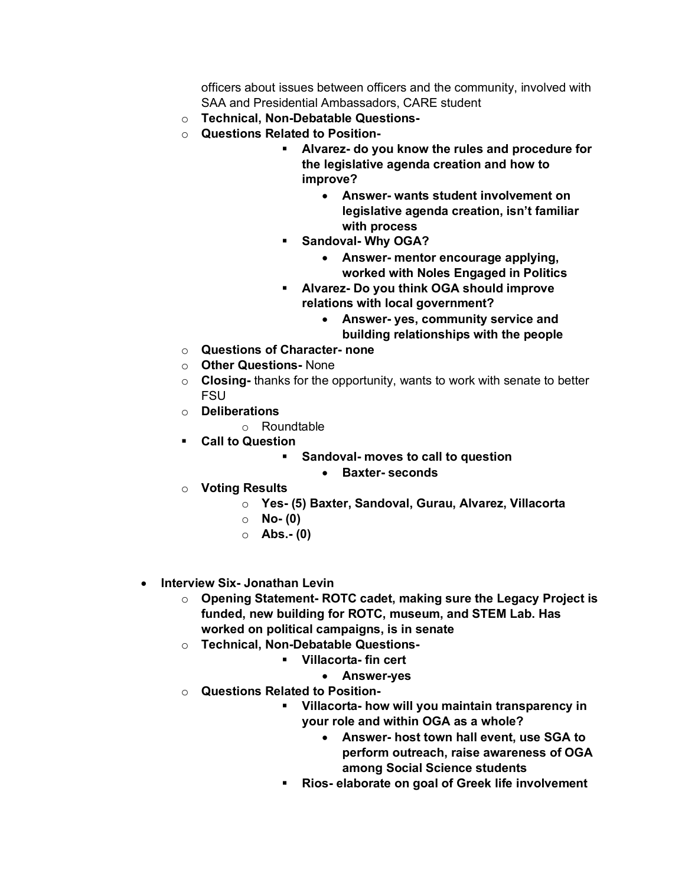officers about issues between officers and the community, involved with SAA and Presidential Ambassadors, CARE student

- o **Technical, Non-Debatable Questions-**
- o **Questions Related to Position-**
	- § **Alvarez- do you know the rules and procedure for the legislative agenda creation and how to improve?**
		- **Answer- wants student involvement on legislative agenda creation, isn't familiar with process**
	- § **Sandoval- Why OGA?**
		- **Answer- mentor encourage applying, worked with Noles Engaged in Politics**
	- § **Alvarez- Do you think OGA should improve relations with local government?**
		- **Answer- yes, community service and building relationships with the people**
- o **Questions of Character- none**
- o **Other Questions-** None
- o **Closing-** thanks for the opportunity, wants to work with senate to better FSU
- o **Deliberations**
	- o Roundtable
- § **Call to Question**
	- § **Sandoval- moves to call to question**
		- **Baxter- seconds**
- o **Voting Results**
	- o **Yes- (5) Baxter, Sandoval, Gurau, Alvarez, Villacorta**
	- o **No- (0)**
	- o **Abs.- (0)**
- **Interview Six- Jonathan Levin**
	- o **Opening Statement- ROTC cadet, making sure the Legacy Project is funded, new building for ROTC, museum, and STEM Lab. Has worked on political campaigns, is in senate**
	- o **Technical, Non-Debatable Questions-**
		- § **Villacorta- fin cert**
			- **Answer-yes**
	- o **Questions Related to Position-**
		- § **Villacorta- how will you maintain transparency in your role and within OGA as a whole?**
			- **Answer- host town hall event, use SGA to perform outreach, raise awareness of OGA among Social Science students**
		- § **Rios- elaborate on goal of Greek life involvement**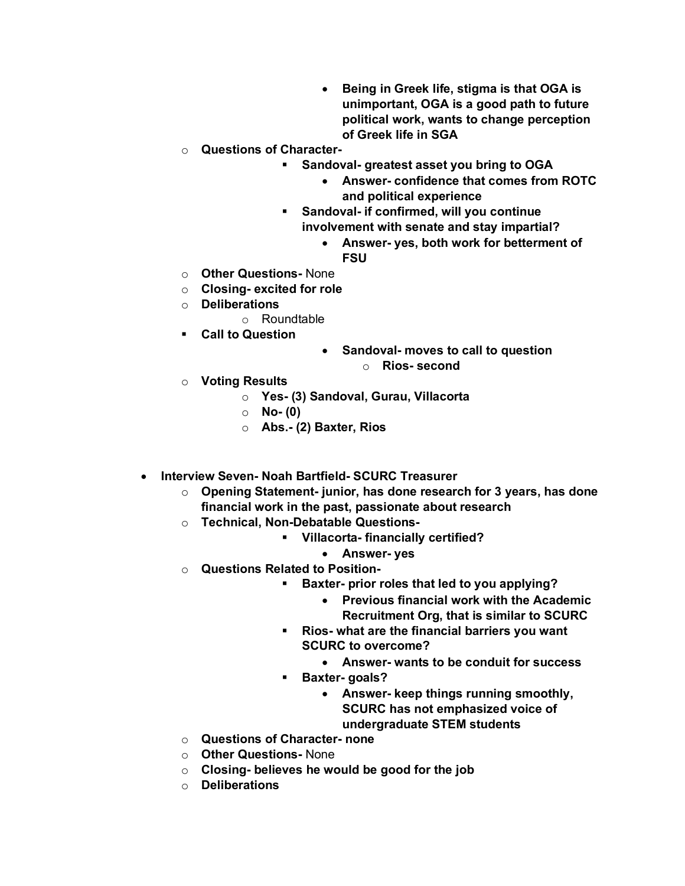- **Being in Greek life, stigma is that OGA is unimportant, OGA is a good path to future political work, wants to change perception of Greek life in SGA**
- o **Questions of Character-**
	- § **Sandoval- greatest asset you bring to OGA**
		- **Answer- confidence that comes from ROTC and political experience**
	- § **Sandoval- if confirmed, will you continue involvement with senate and stay impartial?**
		- **Answer- yes, both work for betterment of FSU**
- o **Other Questions-** None
- o **Closing- excited for role**
- o **Deliberations**
	- o Roundtable
- § **Call to Question**
- **Sandoval- moves to call to question** o **Rios- second**
- o **Voting Results**
	- o **Yes- (3) Sandoval, Gurau, Villacorta**
	- o **No- (0)**
	- o **Abs.- (2) Baxter, Rios**
- **Interview Seven- Noah Bartfield- SCURC Treasurer**
	- o **Opening Statement- junior, has done research for 3 years, has done financial work in the past, passionate about research**
	- o **Technical, Non-Debatable Questions-**
		- § **Villacorta- financially certified?**
			- **Answer- yes**
	- o **Questions Related to Position-**
		- § **Baxter- prior roles that led to you applying?**
			- **Previous financial work with the Academic Recruitment Org, that is similar to SCURC**
		- § **Rios- what are the financial barriers you want SCURC to overcome?**
			- **Answer- wants to be conduit for success**
		- § **Baxter- goals?**
			- **Answer- keep things running smoothly, SCURC has not emphasized voice of undergraduate STEM students**
	- o **Questions of Character- none**
	- o **Other Questions-** None
	- o **Closing- believes he would be good for the job**
	- o **Deliberations**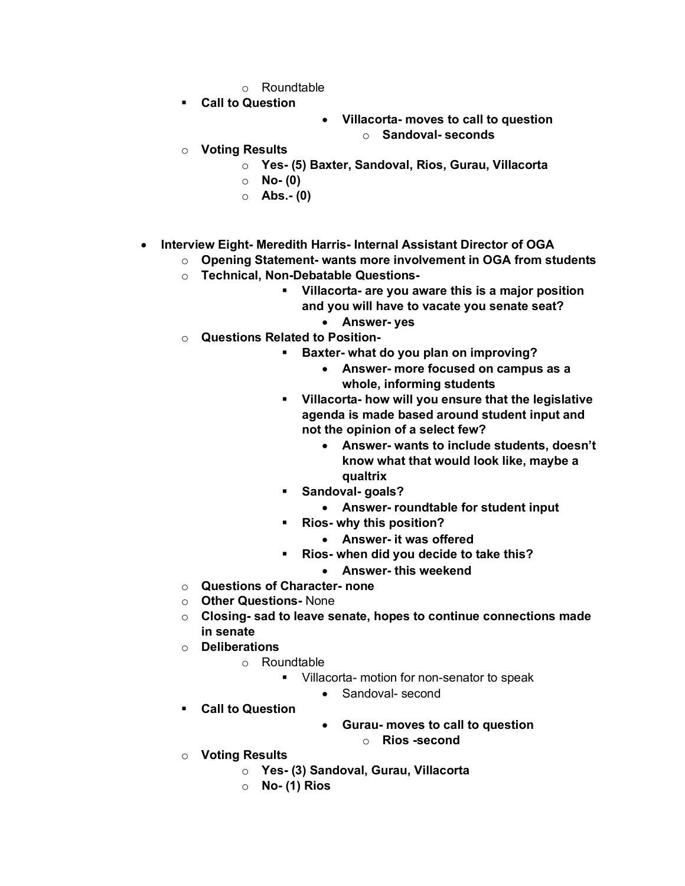- o Roundtable
- § **Call to Question**
- **Villacorta- moves to call to question** o **Sandoval- seconds**
- o **Voting Results**
	- o **Yes- (5) Baxter, Sandoval, Rios, Gurau, Villacorta**
	- o **No- (0)**
	- o **Abs.- (0)**
- **Interview Eight- Meredith Harris- Internal Assistant Director of OGA** 
	- o **Opening Statement- wants more involvement in OGA from students**
	- o **Technical, Non-Debatable Questions-**
		- § **Villacorta- are you aware this is a major position and you will have to vacate you senate seat?**
			- **Answer- yes**
	- o **Questions Related to Position-**
		- § **Baxter- what do you plan on improving?**
			- **Answer- more focused on campus as a whole, informing students**
		- § **Villacorta- how will you ensure that the legislative agenda is made based around student input and not the opinion of a select few?**
			- **Answer- wants to include students, doesn't know what that would look like, maybe a qualtrix**
		- § **Sandoval- goals?**
			- **Answer- roundtable for student input**
		- § **Rios- why this position?**
			- **Answer- it was offered**
		- § **Rios- when did you decide to take this?**
		- **Answer- this weekend**
	- o **Questions of Character- none**
	- o **Other Questions-** None
	- o **Closing- sad to leave senate, hopes to continue connections made in senate**
	- o **Deliberations**
		- o Roundtable
			- § Villacorta- motion for non-senator to speak
				- Sandoval- second
	- § **Call to Question**
- **Gurau- moves to call to question**
	- o **Rios -second**
- o **Voting Results**
	- o **Yes- (3) Sandoval, Gurau, Villacorta**
	- o **No- (1) Rios**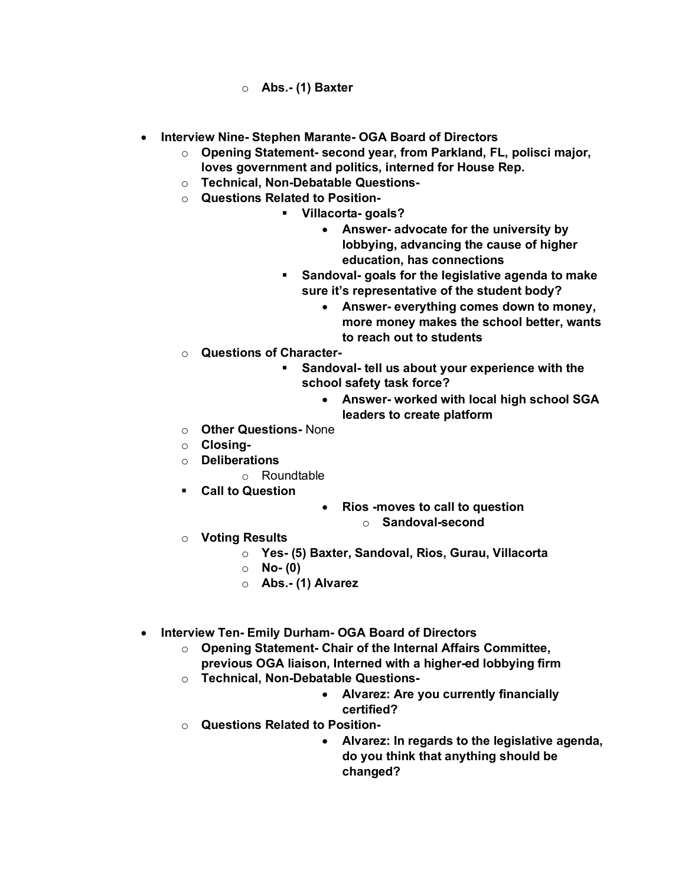- o **Abs.- (1) Baxter**
- **Interview Nine- Stephen Marante- OGA Board of Directors**
	- o **Opening Statement- second year, from Parkland, FL, polisci major, loves government and politics, interned for House Rep.**
	- o **Technical, Non-Debatable Questions-**
	- o **Questions Related to Position-**
		- § **Villacorta- goals?**
			- **Answer- advocate for the university by lobbying, advancing the cause of higher education, has connections**
		- § **Sandoval- goals for the legislative agenda to make sure it's representative of the student body?**
			- **Answer- everything comes down to money, more money makes the school better, wants to reach out to students**
	- o **Questions of Character-**
		- § **Sandoval- tell us about your experience with the school safety task force?**
			- **Answer- worked with local high school SGA leaders to create platform**
	- o **Other Questions-** None
	- o **Closing-**
	- o **Deliberations**
		- o Roundtable
	- § **Call to Question**
- **Rios -moves to call to question**
	- o **Sandoval-second**
- o **Voting Results**
	- o **Yes- (5) Baxter, Sandoval, Rios, Gurau, Villacorta**
	- o **No- (0)**
	- o **Abs.- (1) Alvarez**
- **Interview Ten- Emily Durham- OGA Board of Directors**
	- o **Opening Statement- Chair of the Internal Affairs Committee,**
	- **previous OGA liaison, Interned with a higher-ed lobbying firm**
	- o **Technical, Non-Debatable Questions-**
		- **Alvarez: Are you currently financially certified?**
	- o **Questions Related to Position-**
		- **Alvarez: In regards to the legislative agenda, do you think that anything should be changed?**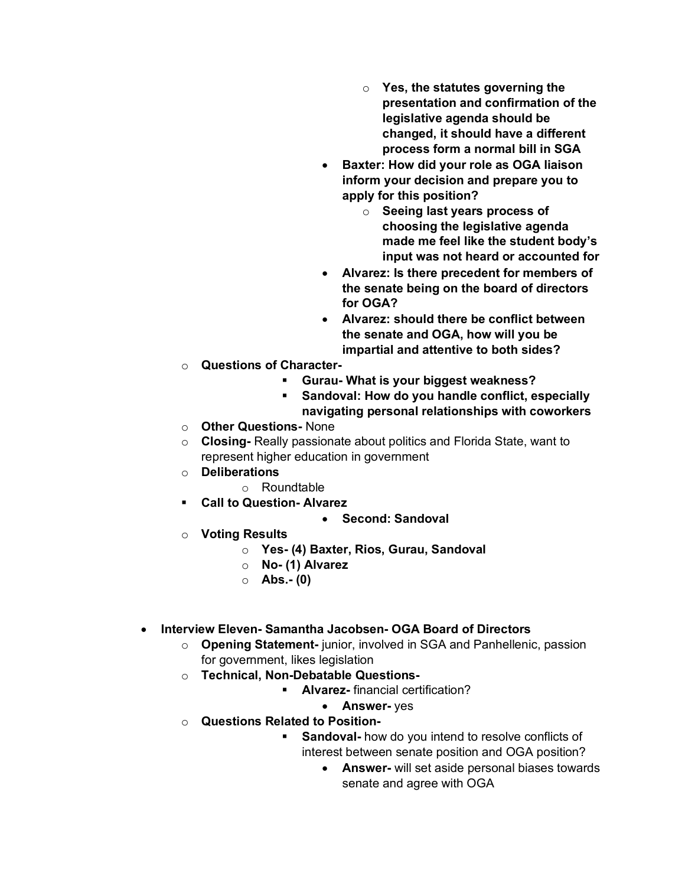- o **Yes, the statutes governing the presentation and confirmation of the legislative agenda should be changed, it should have a different process form a normal bill in SGA**
- **Baxter: How did your role as OGA liaison inform your decision and prepare you to apply for this position?**
	- o **Seeing last years process of choosing the legislative agenda made me feel like the student body's input was not heard or accounted for**
- **Alvarez: Is there precedent for members of the senate being on the board of directors for OGA?**
- **Alvarez: should there be conflict between the senate and OGA, how will you be impartial and attentive to both sides?**
- o **Questions of Character-**
	- § **Gurau- What is your biggest weakness?**
	- § **Sandoval: How do you handle conflict, especially navigating personal relationships with coworkers**
- o **Other Questions-** None
- o **Closing-** Really passionate about politics and Florida State, want to represent higher education in government
- o **Deliberations**
	- o Roundtable
- § **Call to Question- Alvarez**

# • **Second: Sandoval**

- o **Voting Results**
	- o **Yes- (4) Baxter, Rios, Gurau, Sandoval**
	- o **No- (1) Alvarez**
	- o **Abs.- (0)**

# • **Interview Eleven- Samantha Jacobsen- OGA Board of Directors**

- o **Opening Statement-** junior, involved in SGA and Panhellenic, passion for government, likes legislation
- o **Technical, Non-Debatable Questions-**
	- § **Alvarez-** financial certification?
		- **Answer-** yes
- o **Questions Related to Position-**
	- **Sandoval-** how do you intend to resolve conflicts of interest between senate position and OGA position?
		- **Answer-** will set aside personal biases towards senate and agree with OGA